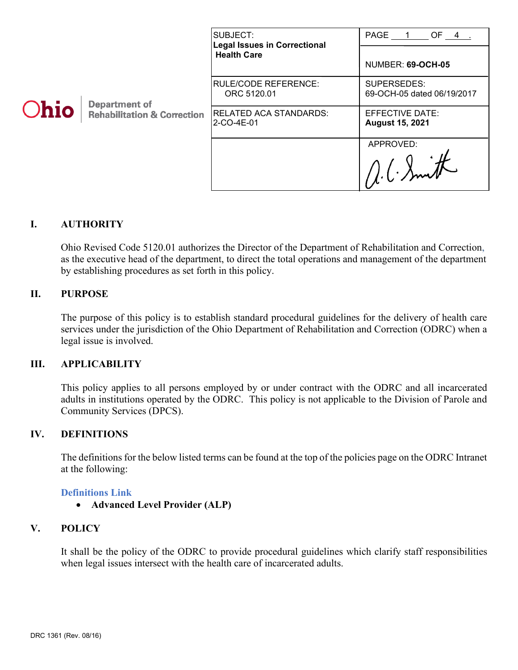| <b>Ohio</b> | <b>Department of</b><br><b>Rehabilitation &amp; Correction</b> | SUBJECT:<br><b>Legal Issues in Correctional</b><br><b>Health Care</b> | PAGE 1 OF 4 .                                    |
|-------------|----------------------------------------------------------------|-----------------------------------------------------------------------|--------------------------------------------------|
|             |                                                                |                                                                       | <b>NUMBER: 69-OCH-05</b>                         |
|             |                                                                | RULE/CODE REFERENCE:<br>ORC 5120.01                                   | SUPERSEDES:<br>69-OCH-05 dated 06/19/2017        |
|             |                                                                | <b>RELATED ACA STANDARDS:</b><br>2-CO-4E-01                           | <b>EFFECTIVE DATE:</b><br><b>August 15, 2021</b> |
|             |                                                                |                                                                       | APPROVED:                                        |
|             |                                                                |                                                                       |                                                  |

# **I. AUTHORITY**

Ohio Revised Code 5120.01 authorizes the Director of the Department of Rehabilitation and Correction, as the executive head of the department, to direct the total operations and management of the department by establishing procedures as set forth in this policy.

## **II. PURPOSE**

The purpose of this policy is to establish standard procedural guidelines for the delivery of health care services under the jurisdiction of the Ohio Department of Rehabilitation and Correction (ODRC) when a legal issue is involved.

# **III. APPLICABILITY**

This policy applies to all persons employed by or under contract with the ODRC and all incarcerated adults in institutions operated by the ODRC. This policy is not applicable to the Division of Parole and Community Services (DPCS).

## **IV. DEFINITIONS**

The definitions for the below listed terms can be found at the top of the policies page on the ODRC Intranet at the following:

#### **[Definitions Link](http://intra/policies/pagecontent/files/Policy%20Definition%20Spreadsheet%20-%20Intranet%202021.pdf)**

• **Advanced Level Provider (ALP)**

#### **V. POLICY**

It shall be the policy of the ODRC to provide procedural guidelines which clarify staff responsibilities when legal issues intersect with the health care of incarcerated adults.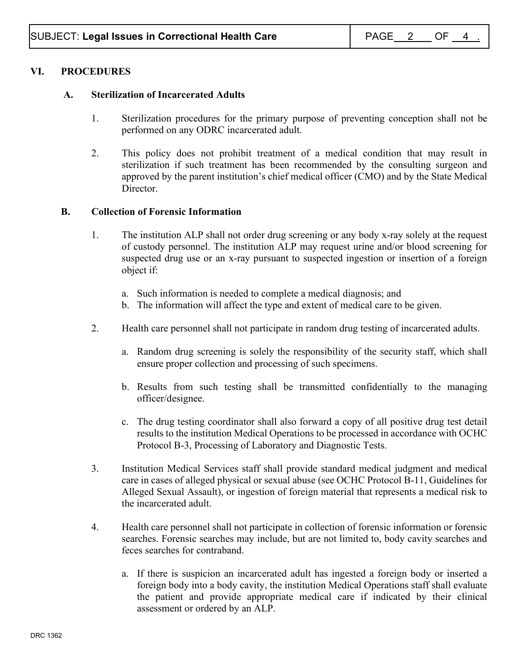# **VI. PROCEDURES**

## **A. Sterilization of Incarcerated Adults**

- 1. Sterilization procedures for the primary purpose of preventing conception shall not be performed on any ODRC incarcerated adult.
- 2. This policy does not prohibit treatment of a medical condition that may result in sterilization if such treatment has been recommended by the consulting surgeon and approved by the parent institution's chief medical officer (CMO) and by the State Medical Director.

## **B. Collection of Forensic Information**

- 1. The institution ALP shall not order drug screening or any body x-ray solely at the request of custody personnel. The institution ALP may request urine and/or blood screening for suspected drug use or an x-ray pursuant to suspected ingestion or insertion of a foreign object if:
	- a. Such information is needed to complete a medical diagnosis; and
	- b. The information will affect the type and extent of medical care to be given.
- 2. Health care personnel shall not participate in random drug testing of incarcerated adults.
	- a. Random drug screening is solely the responsibility of the security staff, which shall ensure proper collection and processing of such specimens.
	- b. Results from such testing shall be transmitted confidentially to the managing officer/designee.
	- c. The drug testing coordinator shall also forward a copy of all positive drug test detail results to the institution Medical Operations to be processed in accordance with OCHC Protocol B-3, Processing of Laboratory and Diagnostic Tests.
- 3. Institution Medical Services staff shall provide standard medical judgment and medical care in cases of alleged physical or sexual abuse (see OCHC Protocol B-11, Guidelines for Alleged Sexual Assault), or ingestion of foreign material that represents a medical risk to the incarcerated adult.
- 4. Health care personnel shall not participate in collection of forensic information or forensic searches. Forensic searches may include, but are not limited to, body cavity searches and feces searches for contraband.
	- a. If there is suspicion an incarcerated adult has ingested a foreign body or inserted a foreign body into a body cavity, the institution Medical Operations staff shall evaluate the patient and provide appropriate medical care if indicated by their clinical assessment or ordered by an ALP.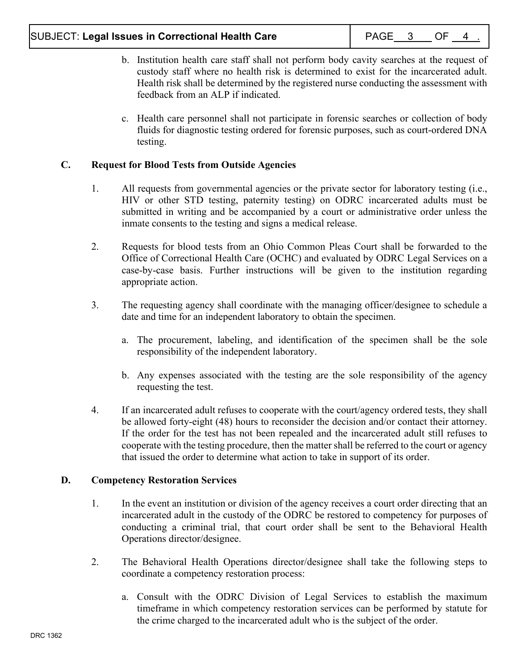- b. Institution health care staff shall not perform body cavity searches at the request of custody staff where no health risk is determined to exist for the incarcerated adult. Health risk shall be determined by the registered nurse conducting the assessment with feedback from an ALP if indicated.
- c. Health care personnel shall not participate in forensic searches or collection of body fluids for diagnostic testing ordered for forensic purposes, such as court-ordered DNA testing.

# **C. Request for Blood Tests from Outside Agencies**

- 1. All requests from governmental agencies or the private sector for laboratory testing (i.e., HIV or other STD testing, paternity testing) on ODRC incarcerated adults must be submitted in writing and be accompanied by a court or administrative order unless the inmate consents to the testing and signs a medical release.
- 2. Requests for blood tests from an Ohio Common Pleas Court shall be forwarded to the Office of Correctional Health Care (OCHC) and evaluated by ODRC Legal Services on a case-by-case basis. Further instructions will be given to the institution regarding appropriate action.
- 3. The requesting agency shall coordinate with the managing officer/designee to schedule a date and time for an independent laboratory to obtain the specimen.
	- a. The procurement, labeling, and identification of the specimen shall be the sole responsibility of the independent laboratory.
	- b. Any expenses associated with the testing are the sole responsibility of the agency requesting the test.
- 4. If an incarcerated adult refuses to cooperate with the court/agency ordered tests, they shall be allowed forty-eight (48) hours to reconsider the decision and/or contact their attorney. If the order for the test has not been repealed and the incarcerated adult still refuses to cooperate with the testing procedure, then the matter shall be referred to the court or agency that issued the order to determine what action to take in support of its order.

# **D. Competency Restoration Services**

- 1. In the event an institution or division of the agency receives a court order directing that an incarcerated adult in the custody of the ODRC be restored to competency for purposes of conducting a criminal trial, that court order shall be sent to the Behavioral Health Operations director/designee.
- 2. The Behavioral Health Operations director/designee shall take the following steps to coordinate a competency restoration process:
	- a. Consult with the ODRC Division of Legal Services to establish the maximum timeframe in which competency restoration services can be performed by statute for the crime charged to the incarcerated adult who is the subject of the order.